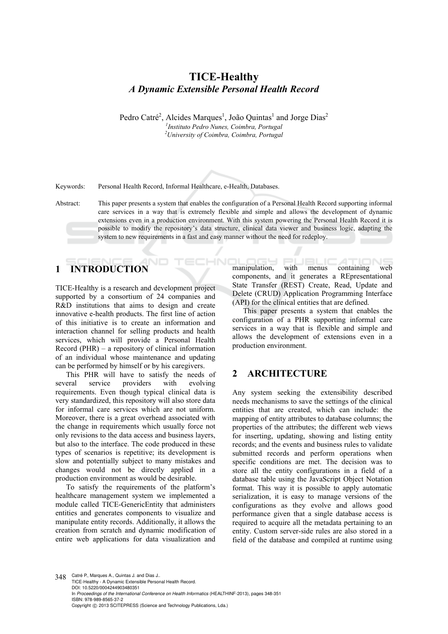## **TICE-Healthy**  *A Dynamic Extensible Personal Health Record*

Pedro Catré<sup>2</sup>, Alcides Marques<sup>1</sup>, João Quintas<sup>1</sup> and Jorge Dias<sup>2</sup> *1 Instituto Pedro Nunes, Coimbra, Portugal 2 University of Coimbra, Coimbra, Portugal* 

Keywords: Personal Health Record, Informal Healthcare, e-Health, Databases.

Abstract: This paper presents a system that enables the configuration of a Personal Health Record supporting informal care services in a way that is extremely flexible and simple and allows the development of dynamic extensions even in a production environment. With this system powering the Personal Health Record it is possible to modify the repository's data structure, clinical data viewer and business logic, adapting the system to new requirements in a fast and easy manner without the need for redeploy.

HNI

# **1 INTRODUCTION**

TICE-Healthy is a research and development project supported by a consortium of 24 companies and R&D institutions that aims to design and create innovative e-health products. The first line of action of this initiative is to create an information and interaction channel for selling products and health services, which will provide a Personal Health Record (PHR) – a repository of clinical information of an individual whose maintenance and updating can be performed by himself or by his caregivers.

This PHR will have to satisfy the needs of several service providers with evolving requirements. Even though typical clinical data is very standardized, this repository will also store data for informal care services which are not uniform. Moreover, there is a great overhead associated with the change in requirements which usually force not only revisions to the data access and business layers, but also to the interface. The code produced in these types of scenarios is repetitive; its development is slow and potentially subject to many mistakes and changes would not be directly applied in a production environment as would be desirable.

To satisfy the requirements of the platform's healthcare management system we implemented a module called TICE-GenericEntity that administers entities and generates components to visualize and manipulate entity records. Additionally, it allows the creation from scratch and dynamic modification of entire web applications for data visualization and

manipulation, with menus containing web components, and it generates a REpresentational State Transfer (REST) Create, Read, Update and Delete (CRUD) Application Programming Interface (API) for the clinical entities that are defined.

This paper presents a system that enables the configuration of a PHR supporting informal care services in a way that is flexible and simple and allows the development of extensions even in a production environment.

#### **2 ARCHITECTURE**

Any system seeking the extensibility described needs mechanisms to save the settings of the clinical entities that are created, which can include: the mapping of entity attributes to database columns; the properties of the attributes; the different web views for inserting, updating, showing and listing entity records; and the events and business rules to validate submitted records and perform operations when specific conditions are met. The decision was to store all the entity configurations in a field of a database table using the JavaScript Object Notation format. This way it is possible to apply automatic serialization, it is easy to manage versions of the configurations as they evolve and allows good performance given that a single database access is required to acquire all the metadata pertaining to an entity. Custom server-side rules are also stored in a field of the database and compiled at runtime using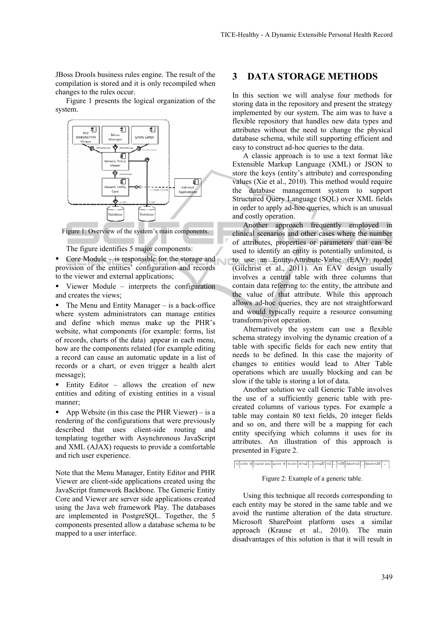JBoss Drools business rules engine. The result of the compilation is stored and it is only recompiled when changes to the rules occur.

Figure 1 presents the logical organization of the system.



Figure 1: Overview of the system's main components.

The figure identifies 5 major components:

Core Module – is responsible for the storage and provision of the entities' configuration and records to the viewer and external applications;

 Viewer Module – interprets the configuration and creates the views;

 $\blacksquare$  The Menu and Entity Manager – is a back-office where system administrators can manage entities and define which menus make up the PHR's website, what components (for example: forms, list of records, charts of the data) appear in each menu, how are the components related (for example editing a record can cause an automatic update in a list of records or a chart, or even trigger a health alert message);

 $\blacksquare$  Entity Editor – allows the creation of new entities and editing of existing entities in a visual manner;

 App Website (in this case the PHR Viewer) – is a rendering of the configurations that were previously described that uses client-side routing and templating together with Asynchronous JavaScript and XML (AJAX) requests to provide a comfortable and rich user experience.

Note that the Menu Manager, Entity Editor and PHR Viewer are client-side applications created using the JavaScript framework Backbone. The Generic Entity Core and Viewer are server side applications created using the Java web framework Play. The databases are implemented in PostgreSQL. Together, the 5 components presented allow a database schema to be mapped to a user interface.

#### **3 DATA STORAGE METHODS**

In this section we will analyse four methods for storing data in the repository and present the strategy implemented by our system. The aim was to have a flexible repository that handles new data types and attributes without the need to change the physical database schema, while still supporting efficient and easy to construct ad-hoc queries to the data.

A classic approach is to use a text format like Extensible Markup Language (XML) or JSON to store the keys (entity's attribute) and corresponding values (Xie et al., 2010). This method would require the database management system to support Structured Query Language (SQL) over XML fields in order to apply ad-hoc queries, which is an unusual and costly operation.

Another approach frequently employed in clinical scenarios and other cases where the number of attributes, properties or parameters that can be used to identify an entity is potentially unlimited, is to use an Entity-Attribute-Value (EAV) model (Gilchrist et al., 2011). An EAV design usually involves a central table with three columns that contain data referring to: the entity, the attribute and the value of that attribute. While this approach allows ad-hoc queries, they are not straightforward and would typically require a resource consuming transform/pivot operation.

Alternatively the system can use a flexible schema strategy involving the dynamic creation of a table with specific fields for each new entity that needs to be defined. In this case the majority of changes to entities would lead to Alter Table operations which are usually blocking and can be slow if the table is storing a lot of data.

Another solution we call Generic Table involves the use of a sufficiently generic table with precreated columns of various types. For example a table may contain 80 text fields, 20 integer fields and so on, and there will be a mapping for each entity specifying which columns it uses for its attributes. An illustration of this approach is presented in Figure 2.

id entity id existed date parent id version string1 ... string50 int1 ... int50 datetime1 ... datetime20

Figure 2: Example of a generic table.

Using this technique all records corresponding to each entity may be stored in the same table and we avoid the runtime alteration of the data structure. Microsoft SharePoint platform uses a similar approach (Krause et al., 2010). The main disadvantages of this solution is that it will result in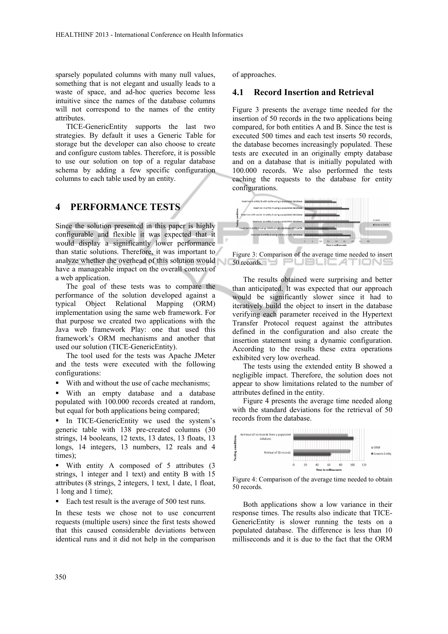sparsely populated columns with many null values, something that is not elegant and usually leads to a waste of space, and ad-hoc queries become less intuitive since the names of the database columns will not correspond to the names of the entity attributes.

TICE-GenericEntity supports the last two strategies. By default it uses a Generic Table for storage but the developer can also choose to create and configure custom tables. Therefore, it is possible to use our solution on top of a regular database schema by adding a few specific configuration columns to each table used by an entity.

#### **4 PERFORMANCE TESTS**

Since the solution presented in this paper is highly configurable and flexible it was expected that it would display a significantly lower performance than static solutions. Therefore, it was important to analyze whether the overhead of this solution would have a manageable impact on the overall context of a web application.

The goal of these tests was to compare the performance of the solution developed against a typical Object Relational Mapping (ORM) implementation using the same web framework. For that purpose we created two applications with the Java web framework Play: one that used this framework's ORM mechanisms and another that used our solution (TICE-GenericEntity).

The tool used for the tests was Apache JMeter and the tests were executed with the following configurations:

With and without the use of cache mechanisms;

 With an empty database and a database populated with 100.000 records created at random, but equal for both applications being compared;

In TICE-GenericEntity we used the system's generic table with 138 pre-created columns (30 strings, 14 booleans, 12 texts, 13 dates, 13 floats, 13 longs, 14 integers, 13 numbers, 12 reals and 4 times);

 With entity A composed of 5 attributes (3 strings, 1 integer and 1 text) and entity B with 15 attributes (8 strings, 2 integers, 1 text, 1 date, 1 float, 1 long and 1 time);

■ Each test result is the average of 500 test runs.

In these tests we chose not to use concurrent requests (multiple users) since the first tests showed that this caused considerable deviations between identical runs and it did not help in the comparison

of approaches.

#### **4.1 Record Insertion and Retrieval**

Figure 3 presents the average time needed for the insertion of 50 records in the two applications being compared, for both entities A and B. Since the test is executed 500 times and each test inserts 50 records, the database becomes increasingly populated. These tests are executed in an originally empty database and on a database that is initially populated with 100.000 records. We also performed the tests caching the requests to the database for entity configurations.



Figure 3: Comparison of the average time needed to insert 50 records. U PUBLICATIONS

The results obtained were surprising and better than anticipated. It was expected that our approach would be significantly slower since it had to iteratively build the object to insert in the database verifying each parameter received in the Hypertext Transfer Protocol request against the attributes defined in the configuration and also create the insertion statement using a dynamic configuration. According to the results these extra operations exhibited very low overhead.

The tests using the extended entity B showed a negligible impact. Therefore, the solution does not appear to show limitations related to the number of attributes defined in the entity.

Figure 4 presents the average time needed along with the standard deviations for the retrieval of 50 records from the database.



Figure 4: Comparison of the average time needed to obtain 50 records.

Both applications show a low variance in their response times. The results also indicate that TICE-GenericEntity is slower running the tests on a populated database. The difference is less than 10 milliseconds and it is due to the fact that the ORM